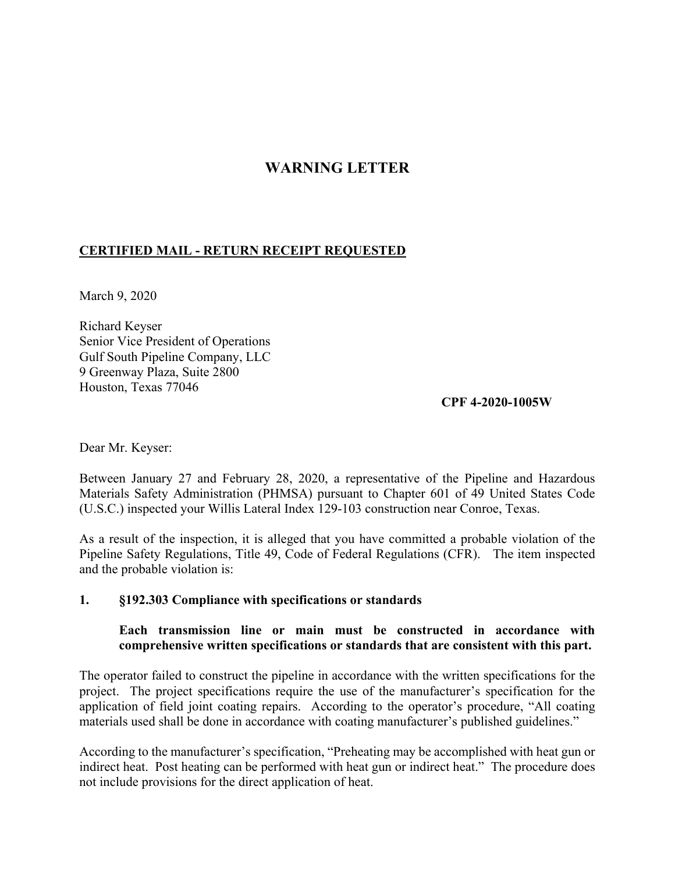## **WARNING LETTER**

## **CERTIFIED MAIL - RETURN RECEIPT REQUESTED**

March 9, 2020

Richard Keyser Senior Vice President of Operations Gulf South Pipeline Company, LLC 9 Greenway Plaza, Suite 2800 Houston, Texas 77046

**CPF 4-2020-1005W** 

Dear Mr. Keyser:

Between January 27 and February 28, 2020, a representative of the Pipeline and Hazardous Materials Safety Administration (PHMSA) pursuant to Chapter 601 of 49 United States Code (U.S.C.) inspected your Willis Lateral Index 129-103 construction near Conroe, Texas.

As a result of the inspection, it is alleged that you have committed a probable violation of the Pipeline Safety Regulations, Title 49, Code of Federal Regulations (CFR). The item inspected and the probable violation is:

## **1. §192.303 Compliance with specifications or standards**

## **Each transmission line or main must be constructed in accordance with comprehensive written specifications or standards that are consistent with this part.**

The operator failed to construct the pipeline in accordance with the written specifications for the project. The project specifications require the use of the manufacturer's specification for the application of field joint coating repairs. According to the operator's procedure, "All coating materials used shall be done in accordance with coating manufacturer's published guidelines."

According to the manufacturer's specification, "Preheating may be accomplished with heat gun or indirect heat. Post heating can be performed with heat gun or indirect heat." The procedure does not include provisions for the direct application of heat.